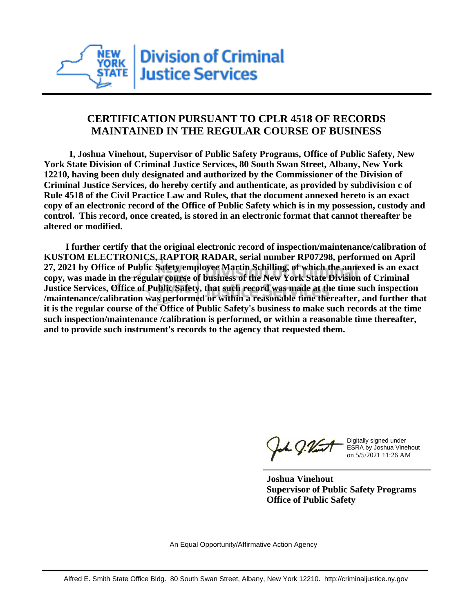

## **CERTIFICATION PURSUANT TO CPLR 4518 OF RECORDS MAINTAINED IN THE REGULAR COURSE OF BUSINESS**

 **I, Joshua Vinehout, Supervisor of Public Safety Programs, Office of Public Safety, New York State Division of Criminal Justice Services, 80 South Swan Street, Albany, New York 12210, having been duly designated and authorized by the Commissioner of the Division of Criminal Justice Services, do hereby certify and authenticate, as provided by subdivision c of Rule 4518 of the Civil Practice Law and Rules, that the document annexed hereto is an exact copy of an electronic record of the Office of Public Safety which is in my possession, custody and control. This record, once created, is stored in an electronic format that cannot thereafter be altered or modified.**

 **I further certify that the original electronic record of inspection/maintenance/calibration of KUSTOM ELECTRONICS, RAPTOR RADAR, serial number RP07298, performed on April 27, 2021 by Office of Public Safety employee Martin Schilling, of which the annexed is an exact copy, was made in the regular course of business of the New York State Division of Criminal Justice Services, Office of Public Safety, that such record was made at the time such inspection /maintenance/calibration was performed or within a reasonable time thereafter, and further that it is the regular course of the Office of Public Safety's business to make such records at the time such inspection/maintenance /calibration is performed, or within a reasonable time thereafter, and to provide such instrument's records to the agency that requested them.**

the J. Vint

Digitally signed under ESRA by Joshua Vinehout on 5/5/2021 11:26 AM

**Joshua Vinehout Supervisor of Public Safety Programs Office of Public Safety**

An Equal Opportunity/Affirmative Action Agency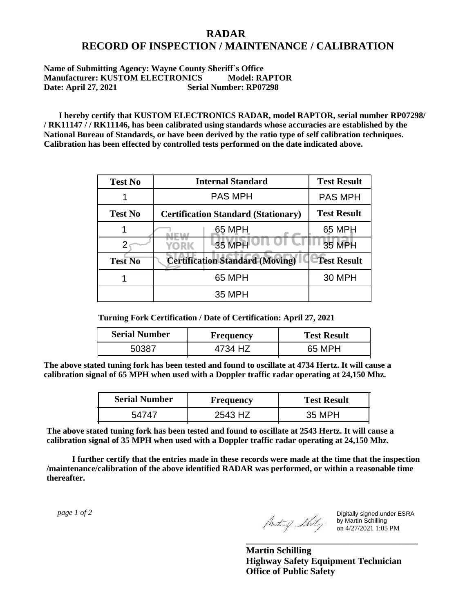## **RADAR RECORD OF INSPECTION / MAINTENANCE / CALIBRATION**

## **Name of Submitting Agency: Wayne County Sheriff`s Office Manufacturer: KUSTOM ELECTRONICS Model: RAPTOR Date: April 27, 2021 Serial Number: RP07298**

 **I hereby certify that KUSTOM ELECTRONICS RADAR, model RAPTOR, serial number RP07298/ / RK11147 / / RK11146, has been calibrated using standards whose accuracies are established by the National Bureau of Standards, or have been derived by the ratio type of self calibration techniques. Calibration has been effected by controlled tests performed on the date indicated above.**

| <b>Test No</b> | <b>Internal Standard</b>                   | <b>Test Result</b> |
|----------------|--------------------------------------------|--------------------|
|                | <b>PAS MPH</b>                             | <b>PAS MPH</b>     |
| <b>Test No</b> | <b>Certification Standard (Stationary)</b> | <b>Test Result</b> |
|                | 65 MPH                                     | 65 MPH             |
|                | 35 MPH<br>YORK                             | <b>35 MPH</b>      |
| <b>Test No</b> | <b>Certification Standard (Moving)</b>     | <b>Test Result</b> |
|                | 65 MPH                                     | <b>30 MPH</b>      |
|                | 35 MPH                                     |                    |

**Turning Fork Certification / Date of Certification: April 27, 2021**

| <b>Serial Number</b> | <b>Frequency</b> | <b>Test Result</b> |
|----------------------|------------------|--------------------|
| 50387                |                  | 65 MPH             |

**The above stated tuning fork has been tested and found to oscillate at 4734 Hertz. It will cause a calibration signal of 65 MPH when used with a Doppler traffic radar operating at 24,150 Mhz.**

| <b>Serial Number</b> | Frequency | <b>Test Result</b> |
|----------------------|-----------|--------------------|
| 54747                | 2543 HZ   | 35 MPH             |

**The above stated tuning fork has been tested and found to oscillate at 2543 Hertz. It will cause a calibration signal of 35 MPH when used with a Doppler traffic radar operating at 24,150 Mhz.**

 **I further certify that the entries made in these records were made at the time that the inspection /maintenance/calibration of the above identified RADAR was performed, or within a reasonable time thereafter.**

 *page 1 of 2* 

Digitally signed under ESRA by Martin Schilling on 4/27/2021 1:05 PM

**Martin Schilling Highway Safety Equipment Technician Office of Public Safety**

**\_\_\_\_\_\_\_\_\_\_\_\_\_\_\_\_\_\_\_\_\_\_\_\_\_\_\_\_\_\_\_\_\_\_\_\_\_**